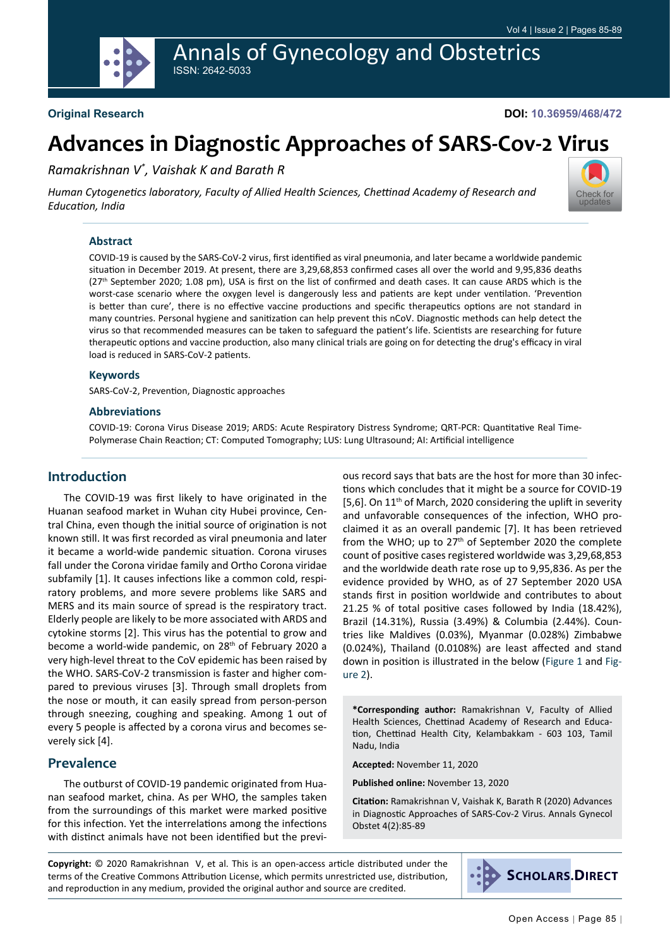# Annals of Gynecology and Obstetrics ISSN: 2642-5033

## **Original Research**

#### **DOI: 10.36959/468/472**

# **Advances in Diagnostic Approaches of SARS-Cov-2 Virus**

*Ramakrishnan V\* , Vaishak K and Barath R*

*Human Cytogenetics laboratory, Faculty of Allied Health Sciences, Chettinad Academy of Research and Education, India*



COVID-19 is caused by the SARS-CoV-2 virus, first identified as viral pneumonia, and later became a worldwide pandemic situation in December 2019. At present, there are 3,29,68,853 confirmed cases all over the world and 9,95,836 deaths (27<sup>th</sup> September 2020; 1.08 pm), USA is first on the list of confirmed and death cases. It can cause ARDS which is the worst-case scenario where the oxygen level is dangerously less and patients are kept under ventilation. 'Prevention is better than cure', there is no effective vaccine productions and specific therapeutics options are not standard in many countries. Personal hygiene and sanitization can help prevent this nCoV. Diagnostic methods can help detect the virus so that recommended measures can be taken to safeguard the patient's life. Scientists are researching for future therapeutic options and vaccine production, also many clinical trials are going on for detecting the drug's efficacy in viral load is reduced in SARS-CoV-2 patients.

#### **Keywords**

SARS-CoV-2, Prevention, Diagnostic approaches

#### **Abbreviations**

COVID-19: Corona Virus Disease 2019; ARDS: Acute Respiratory Distress Syndrome; QRT-PCR: Quantitative Real Time-Polymerase Chain Reaction; CT: Computed Tomography; LUS: Lung Ultrasound; AI: Artificial intelligence

#### **Introduction**

The COVID-19 was first likely to have originated in the Huanan seafood market in Wuhan city Hubei province, Central China, even though the initial source of origination is not known still. It was first recorded as viral pneumonia and later it became a world-wide pandemic situation. Corona viruses fall under the Corona viridae family and Ortho Corona viridae subfamily [1]. It causes infections like a common cold, respiratory problems, and more severe problems like SARS and MERS and its main source of spread is the respiratory tract. Elderly people are likely to be more associated with ARDS and cytokine storms [2]. This virus has the potential to grow and become a world-wide pandemic, on 28<sup>th</sup> of February 2020 a very high-level threat to the CoV epidemic has been raised by the WHO. SARS-CoV-2 transmission is faster and higher compared to previous viruses [3]. Through small droplets from the nose or mouth, it can easily spread from person-person through sneezing, coughing and speaking. Among 1 out of every 5 people is affected by a corona virus and becomes severely sick [4].

#### **Prevalence**

The outburst of COVID-19 pandemic originated from Huanan seafood market, china. As per WHO, the samples taken from the surroundings of this market were marked positive for this infection. Yet the interrelations among the infections with distinct animals have not been identified but the previous record says that bats are the host for more than 30 infections which concludes that it might be a source for COVID-19 [5,6]. On 11<sup>th</sup> of March, 2020 considering the uplift in severity and unfavorable consequences of the infection, WHO proclaimed it as an overall pandemic [7]. It has been retrieved from the WHO; up to 27th of September 2020 the complete count of positive cases registered worldwide was 3,29,68,853 and the worldwide death rate rose up to 9,95,836. As per the evidence provided by WHO, as of 27 September 2020 USA stands first in position worldwide and contributes to about 21.25 % of total positive cases followed by India (18.42%), Brazil (14.31%), Russia (3.49%) & Columbia (2.44%). Countries like Maldives (0.03%), Myanmar (0.028%) Zimbabwe (0.024%), Thailand (0.0108%) are least affected and stand down in position is illustrated in the below ([Figure 1](#page-1-0) and [Fig](#page-1-1)[ure 2\)](#page-1-1).

**\*Corresponding author:** Ramakrishnan V, Faculty of Allied Health Sciences, Chettinad Academy of Research and Education, Chettinad Health City, Kelambakkam - 603 103, Tamil Nadu, India

**Accepted:** November 11, 2020

**Published online:** November 13, 2020

**Citation:** Ramakrishnan V, Vaishak K, Barath R (2020) Advances in Diagnostic Approaches of SARS-Cov-2 Virus. Annals Gynecol Obstet 4(2):85-89

**Copyright:** © 2020 Ramakrishnan V, et al. This is an open-access article distributed under the terms of the Creative Commons Attribution License, which permits unrestricted use, distribution, and reproduction in any medium, provided the original author and source are credited.



Check for updates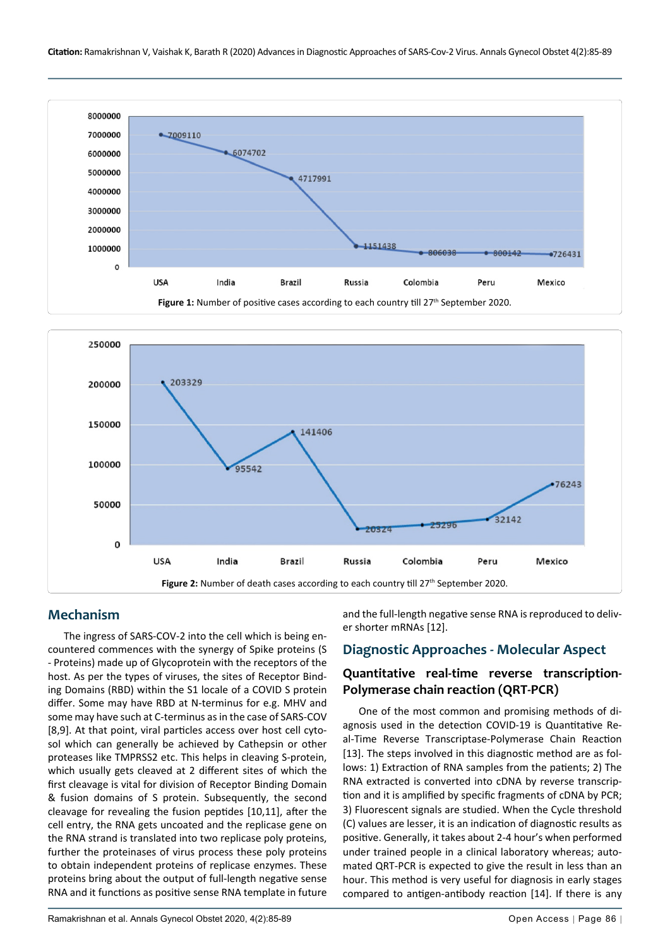<span id="page-1-0"></span>

<span id="page-1-1"></span>

#### **Mechanism**

The ingress of SARS-COV-2 into the cell which is being encountered commences with the synergy of Spike proteins (S - Proteins) made up of Glycoprotein with the receptors of the host. As per the types of viruses, the sites of Receptor Binding Domains (RBD) within the S1 locale of a COVID S protein differ. Some may have RBD at N-terminus for e.g. MHV and some may have such at C-terminus as in the case of SARS-COV [8,9]. At that point, viral particles access over host cell cytosol which can generally be achieved by Cathepsin or other proteases like TMPRSS2 etc. This helps in cleaving S-protein, which usually gets cleaved at 2 different sites of which the first cleavage is vital for division of Receptor Binding Domain & fusion domains of S protein. Subsequently, the second cleavage for revealing the fusion peptides [10,11], after the cell entry, the RNA gets uncoated and the replicase gene on the RNA strand is translated into two replicase poly proteins, further the proteinases of virus process these poly proteins to obtain independent proteins of replicase enzymes. These proteins bring about the output of full-length negative sense RNA and it functions as positive sense RNA template in future and the full-length negative sense RNA is reproduced to deliver shorter mRNAs [12].

#### **Diagnostic Approaches - Molecular Aspect**

## **Quantitative real-time reverse transcription-Polymerase chain reaction (QRT-PCR)**

One of the most common and promising methods of diagnosis used in the detection COVID-19 is Quantitative Real-Time Reverse Transcriptase-Polymerase Chain Reaction [13]. The steps involved in this diagnostic method are as follows: 1) Extraction of RNA samples from the patients; 2) The RNA extracted is converted into cDNA by reverse transcription and it is amplified by specific fragments of cDNA by PCR; 3) Fluorescent signals are studied. When the Cycle threshold (C) values are lesser, it is an indication of diagnostic results as positive. Generally, it takes about 2-4 hour's when performed under trained people in a clinical laboratory whereas; automated QRT-PCR is expected to give the result in less than an hour. This method is very useful for diagnosis in early stages compared to antigen-antibody reaction [14]. If there is any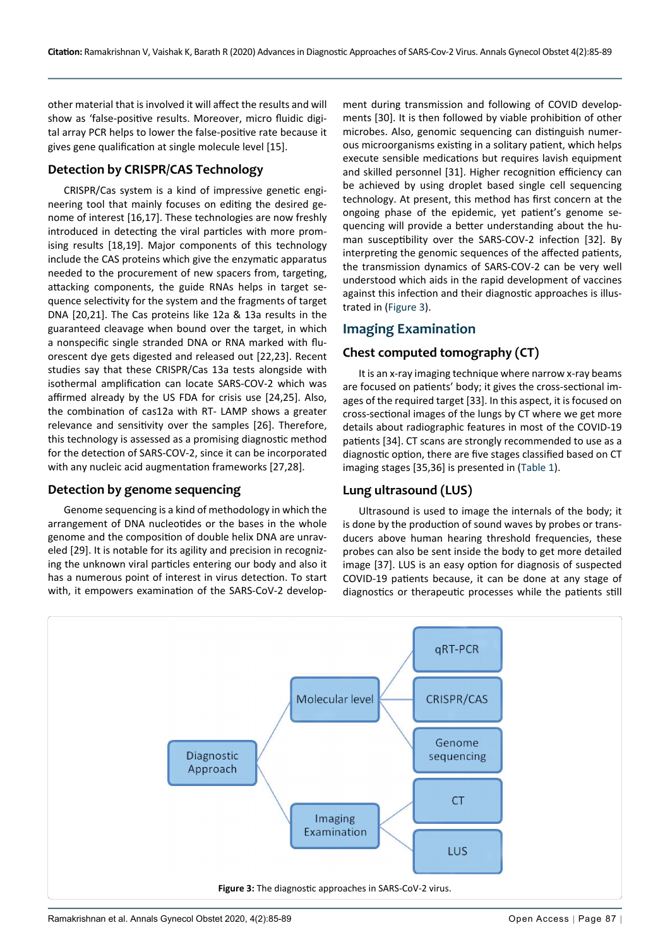other material that is involved it will affect the results and will show as 'false-positive results. Moreover, micro fluidic digital array PCR helps to lower the false-positive rate because it gives gene qualification at single molecule level [15].

### **Detection by CRISPR/CAS Technology**

CRISPR/Cas system is a kind of impressive genetic engineering tool that mainly focuses on editing the desired genome of interest [16,17]. These technologies are now freshly introduced in detecting the viral particles with more promising results [18,19]. Major components of this technology include the CAS proteins which give the enzymatic apparatus needed to the procurement of new spacers from, targeting, attacking components, the guide RNAs helps in target sequence selectivity for the system and the fragments of target DNA [20,21]. The Cas proteins like 12a & 13a results in the guaranteed cleavage when bound over the target, in which a nonspecific single stranded DNA or RNA marked with fluorescent dye gets digested and released out [22,23]. Recent studies say that these CRISPR/Cas 13a tests alongside with isothermal amplification can locate SARS-COV-2 which was affirmed already by the US FDA for crisis use [24,25]. Also, the combination of cas12a with RT- LAMP shows a greater relevance and sensitivity over the samples [26]. Therefore, this technology is assessed as a promising diagnostic method for the detection of SARS-COV-2, since it can be incorporated with any nucleic acid augmentation frameworks [27,28].

#### **Detection by genome sequencing**

Genome sequencing is a kind of methodology in which the arrangement of DNA nucleotides or the bases in the whole genome and the composition of double helix DNA are unraveled [29]. It is notable for its agility and precision in recognizing the unknown viral particles entering our body and also it has a numerous point of interest in virus detection. To start with, it empowers examination of the SARS-CoV-2 develop-

ment during transmission and following of COVID developments [30]. It is then followed by viable prohibition of other microbes. Also, genomic sequencing can distinguish numerous microorganisms existing in a solitary patient, which helps execute sensible medications but requires lavish equipment and skilled personnel [31]. Higher recognition efficiency can be achieved by using droplet based single cell sequencing technology. At present, this method has first concern at the ongoing phase of the epidemic, yet patient's genome sequencing will provide a better understanding about the human susceptibility over the SARS-COV-2 infection [32]. By interpreting the genomic sequences of the affected patients, the transmission dynamics of SARS-COV-2 can be very well understood which aids in the rapid development of vaccines against this infection and their diagnostic approaches is illustrated in [\(Figure 3\)](#page-2-0).

# **Imaging Examination**

# **Chest computed tomography (CT)**

It is an x-ray imaging technique where narrow x-ray beams are focused on patients' body; it gives the cross-sectional images of the required target [33]. In this aspect, it is focused on cross-sectional images of the lungs by CT where we get more details about radiographic features in most of the COVID-19 patients [34]. CT scans are strongly recommended to use as a diagnostic option, there are five stages classified based on CT imaging stages [35,36] is presented in [\(Table 1\)](#page-3-0).

## **Lung ultrasound (LUS)**

Ultrasound is used to image the internals of the body; it is done by the production of sound waves by probes or transducers above human hearing threshold frequencies, these probes can also be sent inside the body to get more detailed image [37]. LUS is an easy option for diagnosis of suspected COVID-19 patients because, it can be done at any stage of diagnostics or therapeutic processes while the patients still

<span id="page-2-0"></span>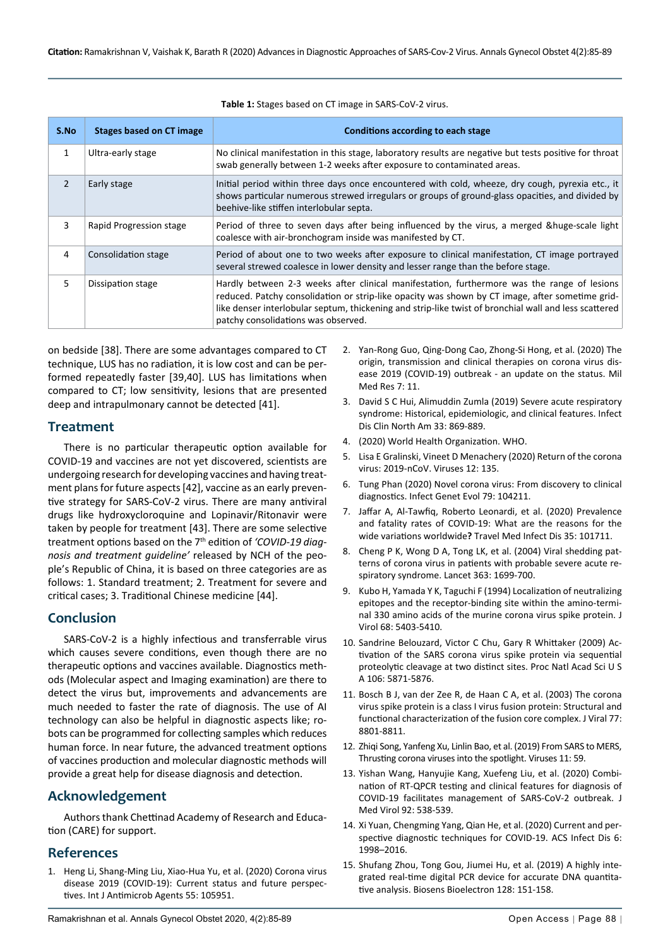| S.No | <b>Stages based on CT image</b> | Conditions according to each stage                                                                                                                                                                                                                                                                                                             |
|------|---------------------------------|------------------------------------------------------------------------------------------------------------------------------------------------------------------------------------------------------------------------------------------------------------------------------------------------------------------------------------------------|
| 1    | Ultra-early stage               | No clinical manifestation in this stage, laboratory results are negative but tests positive for throat<br>swab generally between 1-2 weeks after exposure to contaminated areas.                                                                                                                                                               |
| 2    | Early stage                     | Initial period within three days once encountered with cold, wheeze, dry cough, pyrexia etc., it<br>shows particular numerous strewed irregulars or groups of ground-glass opacities, and divided by<br>beehive-like stiffen interlobular septa.                                                                                               |
| 3    | Rapid Progression stage         | Period of three to seven days after being influenced by the virus, a merged &huge-scale light<br>coalesce with air-bronchogram inside was manifested by CT.                                                                                                                                                                                    |
| 4    | Consolidation stage             | Period of about one to two weeks after exposure to clinical manifestation, CT image portrayed<br>several strewed coalesce in lower density and lesser range than the before stage.                                                                                                                                                             |
| 5.   | Dissipation stage               | Hardly between 2-3 weeks after clinical manifestation, furthermore was the range of lesions<br>reduced. Patchy consolidation or strip-like opacity was shown by CT image, after sometime grid-<br>like denser interlobular septum, thickening and strip-like twist of bronchial wall and less scattered<br>patchy consolidations was observed. |

<span id="page-3-0"></span>**Table 1:** Stages based on CT image in SARS-CoV-2 virus.

on bedside [38]. There are some advantages compared to CT technique, LUS has no radiation, it is low cost and can be performed repeatedly faster [39,40]. LUS has limitations when compared to CT; low sensitivity, lesions that are presented deep and intrapulmonary cannot be detected [41].

#### **Treatment**

There is no particular therapeutic option available for COVID-19 and vaccines are not yet discovered, scientists are undergoing research for developing vaccines and having treatment plans for future aspects [42], vaccine as an early preventive strategy for SARS-CoV-2 virus. There are many antiviral drugs like hydroxycloroquine and Lopinavir/Ritonavir were taken by people for treatment [43]. There are some selective treatment options based on the 7th edition of *'COVID-19 diagnosis and treatment guideline'* released by NCH of the people's Republic of China, it is based on three categories are as follows: 1. Standard treatment; 2. Treatment for severe and critical cases; 3. Traditional Chinese medicine [44].

#### **Conclusion**

SARS-CoV-2 is a highly infectious and transferrable virus which causes severe conditions, even though there are no therapeutic options and vaccines available. Diagnostics methods (Molecular aspect and Imaging examination) are there to detect the virus but, improvements and advancements are much needed to faster the rate of diagnosis. The use of AI technology can also be helpful in diagnostic aspects like; robots can be programmed for collecting samples which reduces human force. In near future, the advanced treatment options of vaccines production and molecular diagnostic methods will provide a great help for disease diagnosis and detection.

## **Acknowledgement**

Authors thank Chettinad Academy of Research and Education (CARE) for support.

#### **References**

1. [Heng Li, Shang-Ming Liu, Xiao-Hua Yu, et al. \(2020\) Corona virus](https://www.ncbi.nlm.nih.gov/pmc/articles/PMC7139247/)  [disease 2019 \(COVID-19\): Current status and future perspec](https://www.ncbi.nlm.nih.gov/pmc/articles/PMC7139247/)[tives. Int J Antimicrob Agents 55: 105951.](https://www.ncbi.nlm.nih.gov/pmc/articles/PMC7139247/)

- 2. Yan-Rong Guo, Qing-Dong Cao, Zhong-Si Hong, et al. (2020) The origin, transmission and clinical therapies on corona virus disease 2019 (COVID-19) outbreak - an update on the status. Mil Med Res 7: 11.
- 3. David S C Hui, Alimuddin Zumla (2019) Severe acute respiratory syndrome: Historical, epidemiologic, and clinical features. Infect Dis Clin North Am 33: 869-889.
- 4. [\(2020\) World Health Organization. WHO](https://covid19.who.int/).
- 5. [Lisa E Gralinski, Vineet D Menachery \(2020\) Return of the corona](https://pubmed.ncbi.nlm.nih.gov/31991541/)  [virus: 2019-nCoV. Viruses 12: 135.](https://pubmed.ncbi.nlm.nih.gov/31991541/)
- 6. [Tung Phan \(2020\) Novel corona virus: From discovery to clinical](https://pubmed.ncbi.nlm.nih.gov/32007627/)  [diagnostics. Infect Genet Evol 79: 104211.](https://pubmed.ncbi.nlm.nih.gov/32007627/)
- 7. [Jaffar A, Al-Tawfiq, Roberto Leonardi, et al. \(2020\) Prevalence](https://pubmed.ncbi.nlm.nih.gov/32360326/)  [and fatality rates of COVID-19: What are the reasons for the](https://pubmed.ncbi.nlm.nih.gov/32360326/)  wide variations worldwide**?** [Travel Med Infect Dis 35: 101711.](https://pubmed.ncbi.nlm.nih.gov/32360326/)
- 8. [Cheng P K, Wong D A, Tong LK, et al. \(2004\) Viral shedding pat](https://pubmed.ncbi.nlm.nih.gov/15158632/)[terns of corona virus in patients with probable severe acute re](https://pubmed.ncbi.nlm.nih.gov/15158632/)[spiratory syndrome. Lancet 363: 1699-700.](https://pubmed.ncbi.nlm.nih.gov/15158632/)
- 9. [Kubo H, Yamada Y K, Taguchi F \(1994\) Localization of neutralizing](https://pubmed.ncbi.nlm.nih.gov/7520090/)  [epitopes and the receptor-binding site within the amino-termi](https://pubmed.ncbi.nlm.nih.gov/7520090/)[nal 330 amino acids of the murine corona virus spike protein. J](https://pubmed.ncbi.nlm.nih.gov/7520090/)  [Virol 68: 5403-5410.](https://pubmed.ncbi.nlm.nih.gov/7520090/)
- 10. [Sandrine Belouzard, Victor C Chu, Gary R Whittaker \(2009\) Ac](https://pubmed.ncbi.nlm.nih.gov/19321428/)[tivation of the SARS corona virus spike protein via sequential](https://pubmed.ncbi.nlm.nih.gov/19321428/)  [proteolytic cleavage at two distinct sites. Proc Natl Acad Sci U S](https://pubmed.ncbi.nlm.nih.gov/19321428/)  [A 106: 5871-5876.](https://pubmed.ncbi.nlm.nih.gov/19321428/)
- 11. [Bosch B J, van der Zee R, de Haan C A, et al. \(2003\) The corona](https://pubmed.ncbi.nlm.nih.gov/12885899/)  [virus spike protein is a class I virus fusion protein: Structural and](https://pubmed.ncbi.nlm.nih.gov/12885899/)  [functional characterization of the fusion core complex. J Viral 77:](https://pubmed.ncbi.nlm.nih.gov/12885899/)  [8801-8811.](https://pubmed.ncbi.nlm.nih.gov/12885899/)
- 12. [Zhiqi Song, Yanfeng Xu, Linlin Bao, et al. \(2019\) From SARS to MERS,](https://pubmed.ncbi.nlm.nih.gov/30646565/)  [Thrusting corona viruses into the spotlight. Viruses 11: 59.](https://pubmed.ncbi.nlm.nih.gov/30646565/)
- 13. [Yishan Wang, Hanyujie Kang, Xuefeng Liu, et al. \(2020\) Combi](https://pubmed.ncbi.nlm.nih.gov/32096564/)[nation of RT-QPCR testing and clinical features for diagnosis of](https://pubmed.ncbi.nlm.nih.gov/32096564/)  [COVID-19 facilitates management of SARS-CoV-2 outbreak. J](https://pubmed.ncbi.nlm.nih.gov/32096564/)  [Med Virol 92: 538-539.](https://pubmed.ncbi.nlm.nih.gov/32096564/)
- 14. [Xi Yuan, Chengming Yang, Qian He, et al. \(2020\) Current and per](https://www.ncbi.nlm.nih.gov/pmc/articles/PMC7409380/)[spective diagnostic techniques for COVID-19. ACS Infect Dis 6:](https://www.ncbi.nlm.nih.gov/pmc/articles/PMC7409380/)  [1998–2016.](https://www.ncbi.nlm.nih.gov/pmc/articles/PMC7409380/)
- 15. [Shufang Zhou, Tong Gou, Jiumei Hu, et al. \(2019\) A highly inte](https://pubmed.ncbi.nlm.nih.gov/30660930/)[grated real-time digital PCR device for accurate DNA quantita](https://pubmed.ncbi.nlm.nih.gov/30660930/)[tive analysis. Biosens Bioelectron 128: 151-158.](https://pubmed.ncbi.nlm.nih.gov/30660930/)